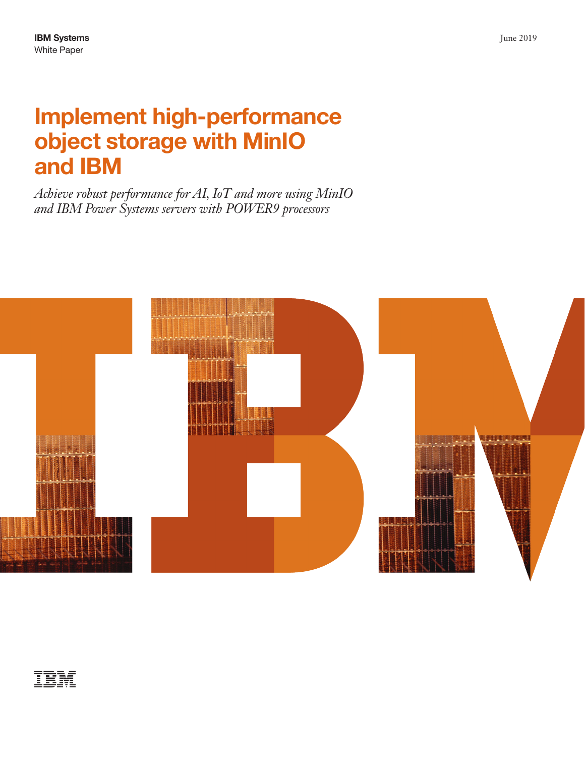# Implement high-performance object storage with MinIO and IBM

*Achieve robust performance for AI, IoT and more using MinIO and IBM Power Systems servers with POWER9 processors*

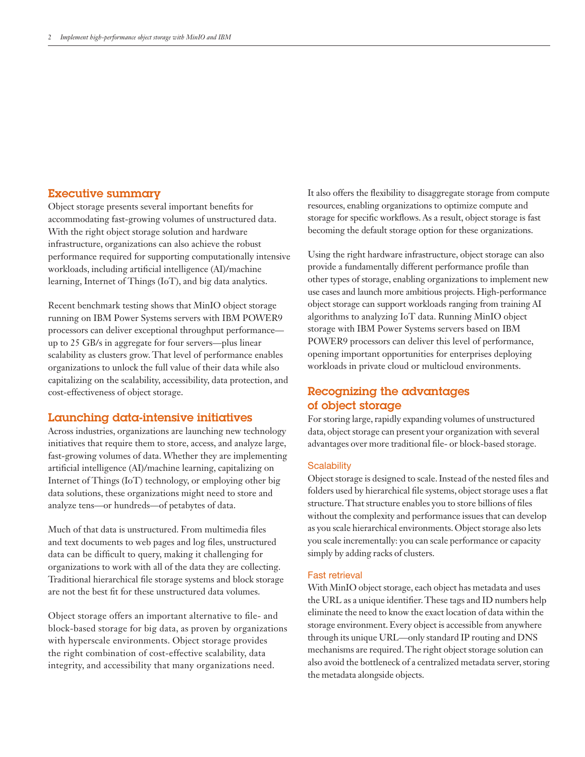# Executive summary

Object storage presents several important benefits for accommodating fast-growing volumes of unstructured data. With the right object storage solution and hardware infrastructure, organizations can also achieve the robust performance required for supporting computationally intensive workloads, including artificial intelligence (AI)/machine learning, Internet of Things (IoT), and big data analytics.

Recent benchmark testing shows that MinIO object storage running on IBM Power Systems servers with IBM POWER9 processors can deliver exceptional throughput performance up to 25 GB/s in aggregate for four servers—plus linear scalability as clusters grow. That level of performance enables organizations to unlock the full value of their data while also capitalizing on the scalability, accessibility, data protection, and cost-effectiveness of object storage.

# Launching data-intensive initiatives

Across industries, organizations are launching new technology initiatives that require them to store, access, and analyze large, fast-growing volumes of data. Whether they are implementing artificial intelligence (AI)/machine learning, capitalizing on Internet of Things (IoT) technology, or employing other big data solutions, these organizations might need to store and analyze tens—or hundreds—of petabytes of data.

Much of that data is unstructured. From multimedia files and text documents to web pages and log files, unstructured data can be difficult to query, making it challenging for organizations to work with all of the data they are collecting. Traditional hierarchical file storage systems and block storage are not the best fit for these unstructured data volumes.

Object storage offers an important alternative to file- and block-based storage for big data, as proven by organizations with hyperscale environments. Object storage provides the right combination of cost-effective scalability, data integrity, and accessibility that many organizations need.

It also offers the flexibility to disaggregate storage from compute resources, enabling organizations to optimize compute and storage for specific workflows. As a result, object storage is fast becoming the default storage option for these organizations.

Using the right hardware infrastructure, object storage can also provide a fundamentally different performance profile than other types of storage, enabling organizations to implement new use cases and launch more ambitious projects. High-performance object storage can support workloads ranging from training AI algorithms to analyzing IoT data. Running MinIO object storage with IBM Power Systems servers based on IBM POWER9 processors can deliver this level of performance, opening important opportunities for enterprises deploying workloads in private cloud or multicloud environments.

# Recognizing the advantages of object storage

For storing large, rapidly expanding volumes of unstructured data, object storage can present your organization with several advantages over more traditional file- or block-based storage.

## **Scalability**

Object storage is designed to scale. Instead of the nested files and folders used by hierarchical file systems, object storage uses a flat structure. That structure enables you to store billions of files without the complexity and performance issues that can develop as you scale hierarchical environments. Object storage also lets you scale incrementally: you can scale performance or capacity simply by adding racks of clusters.

#### Fast retrieval

With MinIO object storage, each object has metadata and uses the URL as a unique identifier. These tags and ID numbers help eliminate the need to know the exact location of data within the storage environment. Every object is accessible from anywhere through its unique URL—only standard IP routing and DNS mechanisms are required. The right object storage solution can also avoid the bottleneck of a centralized metadata server, storing the metadata alongside objects.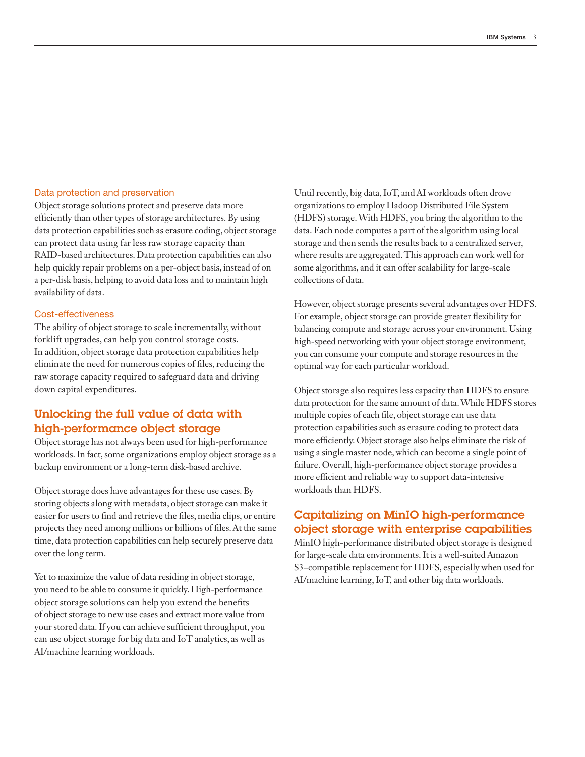#### Data protection and preservation

Object storage solutions protect and preserve data more efficiently than other types of storage architectures. By using data protection capabilities such as erasure coding, object storage can protect data using far less raw storage capacity than RAID-based architectures. Data protection capabilities can also help quickly repair problems on a per-object basis, instead of on a per-disk basis, helping to avoid data loss and to maintain high availability of data.

#### Cost-effectiveness

The ability of object storage to scale incrementally, without forklift upgrades, can help you control storage costs. In addition, object storage data protection capabilities help eliminate the need for numerous copies of files, reducing the raw storage capacity required to safeguard data and driving down capital expenditures.

# Unlocking the full value of data with high-performance object storage

Object storage has not always been used for high-performance workloads. In fact, some organizations employ object storage as a backup environment or a long-term disk-based archive.

Object storage does have advantages for these use cases. By storing objects along with metadata, object storage can make it easier for users to find and retrieve the files, media clips, or entire projects they need among millions or billions of files. At the same time, data protection capabilities can help securely preserve data over the long term.

Yet to maximize the value of data residing in object storage, you need to be able to consume it quickly. High-performance object storage solutions can help you extend the benefits of object storage to new use cases and extract more value from your stored data. If you can achieve sufficient throughput, you can use object storage for big data and IoT analytics, as well as AI/machine learning workloads.

Until recently, big data, IoT, and AI workloads often drove organizations to employ Hadoop Distributed File System (HDFS) storage. With HDFS, you bring the algorithm to the data. Each node computes a part of the algorithm using local storage and then sends the results back to a centralized server, where results are aggregated. This approach can work well for some algorithms, and it can offer scalability for large-scale collections of data.

However, object storage presents several advantages over HDFS. For example, object storage can provide greater flexibility for balancing compute and storage across your environment. Using high-speed networking with your object storage environment, you can consume your compute and storage resources in the optimal way for each particular workload.

Object storage also requires less capacity than HDFS to ensure data protection for the same amount of data. While HDFS stores multiple copies of each file, object storage can use data protection capabilities such as erasure coding to protect data more efficiently. Object storage also helps eliminate the risk of using a single master node, which can become a single point of failure. Overall, high-performance object storage provides a more efficient and reliable way to support data-intensive workloads than HDFS.

# Capitalizing on MinIO high-performance object storage with enterprise capabilities

MinIO high-performance distributed object storage is designed for large-scale data environments. It is a well-suited Amazon S3–compatible replacement for HDFS, especially when used for AI/machine learning, IoT, and other big data workloads.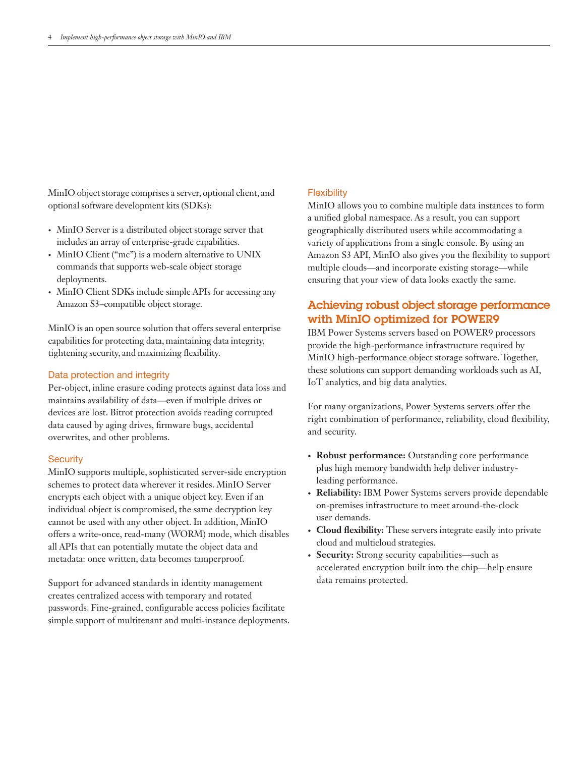MinIO object storage comprises a server, optional client, and optional software development kits (SDKs):

- MinIO Server is a distributed object storage server that includes an array of enterprise-grade capabilities.
- MinIO Client ("mc") is a modern alternative to UNIX commands that supports web-scale object storage deployments.
- MinIO Client SDKs include simple APIs for accessing any Amazon S3–compatible object storage.

MinIO is an open source solution that offers several enterprise capabilities for protecting data, maintaining data integrity, tightening security, and maximizing flexibility.

#### Data protection and integrity

Per-object, inline erasure coding protects against data loss and maintains availability of data—even if multiple drives or devices are lost. Bitrot protection avoids reading corrupted data caused by aging drives, firmware bugs, accidental overwrites, and other problems.

## **Security**

MinIO supports multiple, sophisticated server-side encryption schemes to protect data wherever it resides. MinIO Server encrypts each object with a unique object key. Even if an individual object is compromised, the same decryption key cannot be used with any other object. In addition, MinIO offers a write-once, read-many (WORM) mode, which disables all APIs that can potentially mutate the object data and metadata: once written, data becomes tamperproof.

Support for advanced standards in identity management creates centralized access with temporary and rotated passwords. Fine-grained, configurable access policies facilitate simple support of multitenant and multi-instance deployments.

## **Flexibility**

MinIO allows you to combine multiple data instances to form a unified global namespace. As a result, you can support geographically distributed users while accommodating a variety of applications from a single console. By using an Amazon S3 API, MinIO also gives you the flexibility to support multiple clouds—and incorporate existing storage—while ensuring that your view of data looks exactly the same.

# Achieving robust object storage performance with MinIO optimized for POWER9

IBM Power Systems servers based on POWER9 processors provide the high-performance infrastructure required by MinIO high-performance object storage software. Together, these solutions can support demanding workloads such as AI, IoT analytics, and big data analytics.

For many organizations, Power Systems servers offer the right combination of performance, reliability, cloud flexibility, and security.

- **• Robust performance:** Outstanding core performance plus high memory bandwidth help deliver industryleading performance.
- **• Reliability:** IBM Power Systems servers provide dependable on-premises infrastructure to meet around-the-clock user demands.
- **• Cloud flexibility:** These servers integrate easily into private cloud and multicloud strategies.
- **• Security:** Strong security capabilities—such as accelerated encryption built into the chip—help ensure data remains protected.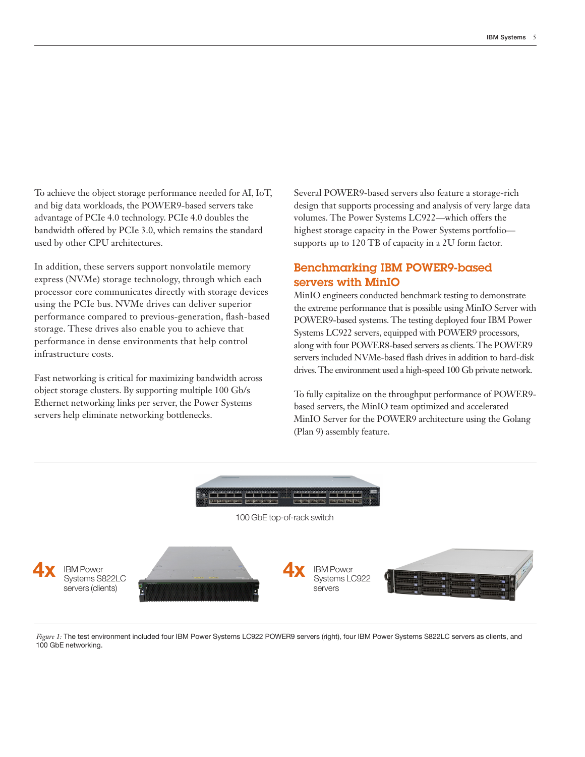To achieve the object storage performance needed for AI, IoT, and big data workloads, the POWER9-based servers take advantage of PCIe 4.0 technology. PCIe 4.0 doubles the bandwidth offered by PCIe 3.0, which remains the standard used by other CPU architectures.

In addition, these servers support nonvolatile memory express (NVMe) storage technology, through which each processor core communicates directly with storage devices using the PCIe bus. NVMe drives can deliver superior performance compared to previous-generation, flash-based storage. These drives also enable you to achieve that performance in dense environments that help control infrastructure costs.

Fast networking is critical for maximizing bandwidth across object storage clusters. By supporting multiple 100 Gb/s Ethernet networking links per server, the Power Systems servers help eliminate networking bottlenecks.

Several POWER9-based servers also feature a storage-rich design that supports processing and analysis of very large data volumes. The Power Systems LC922—which offers the highest storage capacity in the Power Systems portfolio supports up to 120 TB of capacity in a 2U form factor.

# Benchmarking IBM POWER9-based servers with MinIO

MinIO engineers conducted benchmark testing to demonstrate the extreme performance that is possible using MinIO Server with POWER9-based systems. The testing deployed four IBM Power Systems LC922 servers, equipped with POWER9 processors, along with four POWER8-based servers as clients. The POWER9 servers included NVMe-based flash drives in addition to hard-disk drives. The environment used a high-speed 100 Gb private network.

To fully capitalize on the throughput performance of POWER9 based servers, the MinIO team optimized and accelerated MinIO Server for the POWER9 architecture using the Golang (Plan 9) assembly feature.



*Figure 1:* The test environment included four IBM Power Systems LC922 POWER9 servers (right), four IBM Power Systems S822LC servers as clients, and 100 GbE networking.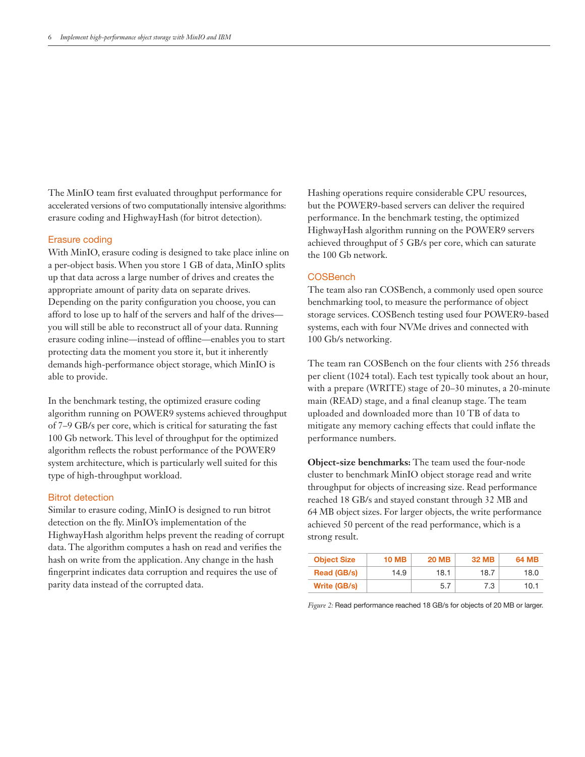The MinIO team first evaluated throughput performance for accelerated versions of two computationally intensive algorithms: erasure coding and HighwayHash (for bitrot detection).

#### Erasure coding

With MinIO, erasure coding is designed to take place inline on a per-object basis. When you store 1 GB of data, MinIO splits up that data across a large number of drives and creates the appropriate amount of parity data on separate drives. Depending on the parity configuration you choose, you can afford to lose up to half of the servers and half of the drives you will still be able to reconstruct all of your data. Running erasure coding inline—instead of offline—enables you to start protecting data the moment you store it, but it inherently demands high-performance object storage, which MinIO is able to provide.

In the benchmark testing, the optimized erasure coding algorithm running on POWER9 systems achieved throughput of 7–9 GB/s per core, which is critical for saturating the fast 100 Gb network. This level of throughput for the optimized algorithm reflects the robust performance of the POWER9 system architecture, which is particularly well suited for this type of high-throughput workload.

#### Bitrot detection

Similar to erasure coding, MinIO is designed to run bitrot detection on the fly. MinIO's implementation of the HighwayHash algorithm helps prevent the reading of corrupt data. The algorithm computes a hash on read and verifies the hash on write from the application. Any change in the hash fingerprint indicates data corruption and requires the use of parity data instead of the corrupted data.

Hashing operations require considerable CPU resources, but the POWER9-based servers can deliver the required performance. In the benchmark testing, the optimized HighwayHash algorithm running on the POWER9 servers achieved throughput of 5 GB/s per core, which can saturate the 100 Gb network.

## COSBench

The team also ran COSBench, a commonly used open source benchmarking tool, to measure the performance of object storage services. COSBench testing used four POWER9-based systems, each with four NVMe drives and connected with 100 Gb/s networking.

The team ran COSBench on the four clients with 256 threads per client (1024 total). Each test typically took about an hour, with a prepare (WRITE) stage of 20–30 minutes, a 20-minute main (READ) stage, and a final cleanup stage. The team uploaded and downloaded more than 10 TB of data to mitigate any memory caching effects that could inflate the performance numbers.

**Object-size benchmarks:** The team used the four-node cluster to benchmark MinIO object storage read and write throughput for objects of increasing size. Read performance reached 18 GB/s and stayed constant through 32 MB and 64 MB object sizes. For larger objects, the write performance achieved 50 percent of the read performance, which is a strong result.

| <b>Object Size</b> | <b>10 MB</b> | <b>20 MB</b> | <b>32 MB</b> | <b>64 MB</b> |
|--------------------|--------------|--------------|--------------|--------------|
| Read (GB/s)        | 14.9         | 18.1         | 18.7         | 18.0         |
| Write (GB/s)       |              | 5.7          | 7.3          | 10.1         |

*Figure 2:* Read performance reached 18 GB/s for objects of 20 MB or larger.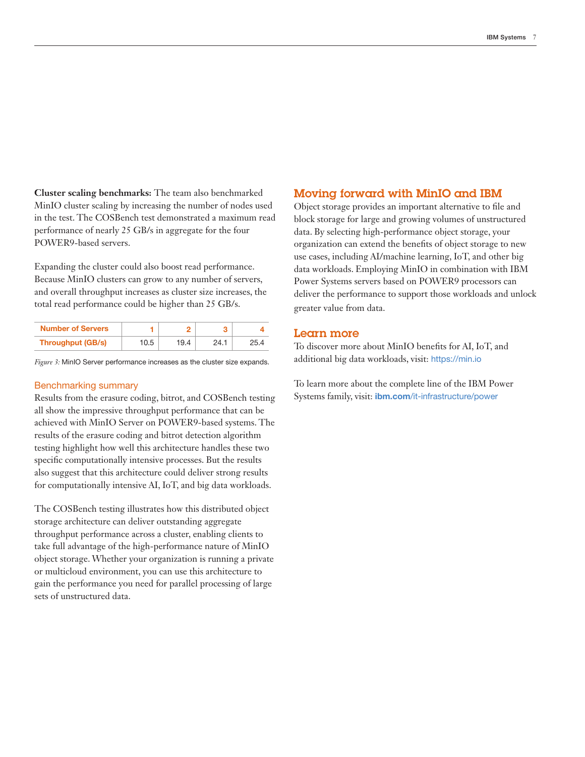**Cluster scaling benchmarks:** The team also benchmarked MinIO cluster scaling by increasing the number of nodes used in the test. The COSBench test demonstrated a maximum read performance of nearly 25 GB/s in aggregate for the four POWER9-based servers.

Expanding the cluster could also boost read performance. Because MinIO clusters can grow to any number of servers, and overall throughput increases as cluster size increases, the total read performance could be higher than 25 GB/s.

| <b>Number of Servers</b> |      |      |      |  |
|--------------------------|------|------|------|--|
| Throughput (GB/s)        | 10.5 | 19.4 | 24.1 |  |

*Figure 3:* MinIO Server performance increases as the cluster size expands.

#### Benchmarking summary

Results from the erasure coding, bitrot, and COSBench testing all show the impressive throughput performance that can be achieved with MinIO Server on POWER9-based systems. The results of the erasure coding and bitrot detection algorithm testing highlight how well this architecture handles these two specific computationally intensive processes. But the results also suggest that this architecture could deliver strong results for computationally intensive AI, IoT, and big data workloads.

The COSBench testing illustrates how this distributed object storage architecture can deliver outstanding aggregate throughput performance across a cluster, enabling clients to take full advantage of the high-performance nature of MinIO object storage. Whether your organization is running a private or multicloud environment, you can use this architecture to gain the performance you need for parallel processing of large sets of unstructured data.

## Moving forward with MinIO and IBM

Object storage provides an important alternative to file and block storage for large and growing volumes of unstructured data. By selecting high-performance object storage, your organization can extend the benefits of object storage to new use cases, including AI/machine learning, IoT, and other big data workloads. Employing MinIO in combination with IBM Power Systems servers based on POWER9 processors can deliver the performance to support those workloads and unlock greater value from data.

## Learn more

To discover more about MinIO benefits for AI, IoT, and additional big data workloads, visit: https://min.io

To learn more about the complete line of the IBM Power Systems family, visit: ibm.com/it-infrastructure/power